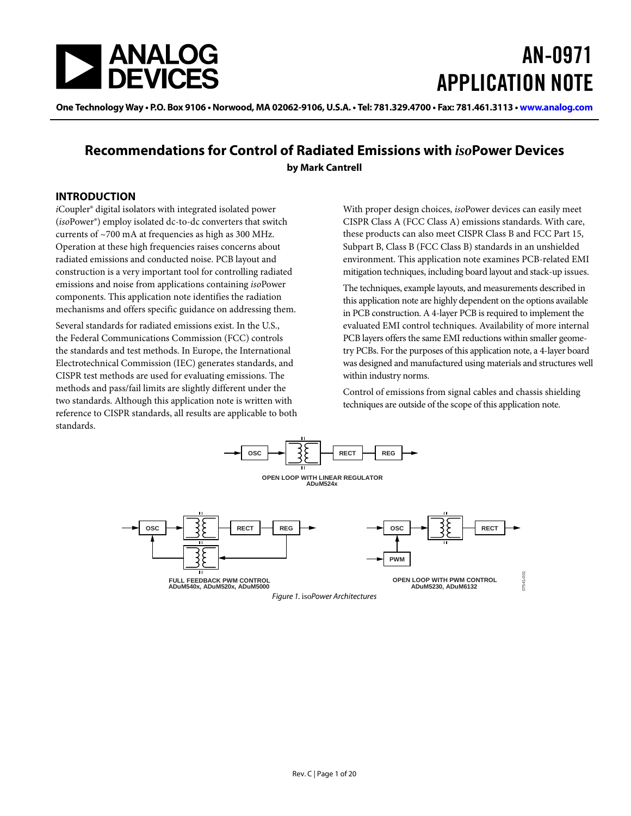

# AN-0971 APPLICATION NOTE

One Technology Way • P.O. Box 9106 • Norwood, MA 02062-9106, U.S.A. • Tel: 781.329.4700 • Fax: 781.461.3113 • www.analog.com

### **Recommendations for Control of Radiated Emissions with** *iso***Power Devices by Mark Cantrell**

#### <span id="page-0-0"></span>**INTRODUCTION**

*i*Coupler® digital isolators with integrated isolated power (*iso*Power®) employ isolated dc-to-dc converters that switch currents of ~700 mA at frequencies as high as 300 MHz. Operation at these high frequencies raises concerns about radiated emissions and conducted noise. PCB layout and construction is a very important tool for controlling radiated emissions and noise from applications containing *iso*Power components. This application note identifies the radiation mechanisms and offers specific guidance on addressing them.

Several standards for radiated emissions exist. In the U.S., the Federal Communications Commission (FCC) controls the standards and test methods. In Europe, the International Electrotechnical Commission (IEC) generates standards, and CISPR test methods are used for evaluating emissions. The methods and pass/fail limits are slightly different under the two standards. Although this application note is written with reference to CISPR standards, all results are applicable to both standards.

With proper design choices, *iso*Power devices can easily meet CISPR Class A (FCC Class A) emissions standards. With care, these products can also meet CISPR Class B and FCC Part 15, Subpart B, Class B (FCC Class B) standards in an unshielded environment. This application note examines PCB-related EMI mitigation techniques, including board layout and stack-up issues.

The techniques, example layouts, and measurements described in this application note are highly dependent on the options available in PCB construction. A 4-layer PCB is required to implement the evaluated EMI control techniques. Availability of more internal PCB layers offers the same EMI reductions within smaller geometry PCBs. For the purposes of this application note, a 4-layer board was designed and manufactured using materials and structures well within industry norms.

Control of emissions from signal cables and chassis shielding techniques are outside of the scope of this application note.

<span id="page-0-1"></span>

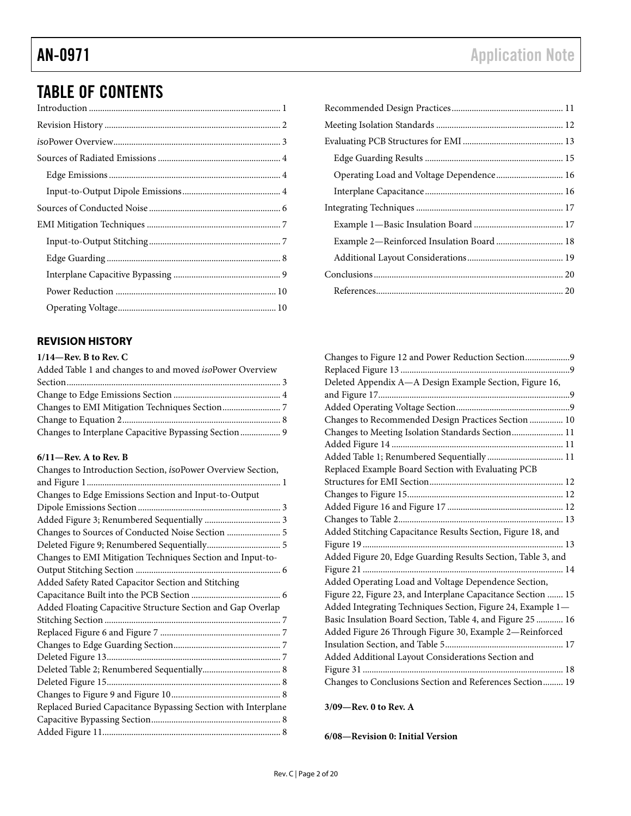## TABLE OF CONTENTS

### <span id="page-1-0"></span>**REVISION HISTORY**

#### **1/14—Rev. B to Rev. C**

| Added Table 1 and changes to and moved <i>isoPower Overview</i> |  |
|-----------------------------------------------------------------|--|
|                                                                 |  |
|                                                                 |  |
|                                                                 |  |
|                                                                 |  |
| Changes to Interplane Capacitive Bypassing Section  9           |  |

#### **6/11—Rev. A to Rev. B**

| Changes to Introduction Section, isoPower Overview Section,   |  |
|---------------------------------------------------------------|--|
|                                                               |  |
| Changes to Edge Emissions Section and Input-to-Output         |  |
|                                                               |  |
| Added Figure 3; Renumbered Sequentially  3                    |  |
| Changes to Sources of Conducted Noise Section  5              |  |
|                                                               |  |
| Changes to EMI Mitigation Techniques Section and Input-to-    |  |
|                                                               |  |
| Added Safety Rated Capacitor Section and Stitching            |  |
|                                                               |  |
| Added Floating Capacitive Structure Section and Gap Overlap   |  |
|                                                               |  |
|                                                               |  |
|                                                               |  |
|                                                               |  |
|                                                               |  |
|                                                               |  |
|                                                               |  |
| Replaced Buried Capacitance Bypassing Section with Interplane |  |
|                                                               |  |
|                                                               |  |

| Operating Load and Voltage Dependence 16  |  |
|-------------------------------------------|--|
|                                           |  |
|                                           |  |
|                                           |  |
| Example 2-Reinforced Insulation Board  18 |  |
|                                           |  |
|                                           |  |
|                                           |  |
|                                           |  |

| Changes to Figure 12 and Power Reduction Section9            |
|--------------------------------------------------------------|
|                                                              |
| Deleted Appendix A-A Design Example Section, Figure 16,      |
|                                                              |
|                                                              |
| Changes to Recommended Design Practices Section  10          |
| Changes to Meeting Isolation Standards Section 11            |
|                                                              |
|                                                              |
| Replaced Example Board Section with Evaluating PCB           |
|                                                              |
|                                                              |
|                                                              |
|                                                              |
| Added Stitching Capacitance Results Section, Figure 18, and  |
|                                                              |
| Added Figure 20, Edge Guarding Results Section, Table 3, and |
|                                                              |
| Added Operating Load and Voltage Dependence Section,         |
| Figure 22, Figure 23, and Interplane Capacitance Section  15 |
| Added Integrating Techniques Section, Figure 24, Example 1-  |
| Basic Insulation Board Section, Table 4, and Figure 25  16   |
| Added Figure 26 Through Figure 30, Example 2-Reinforced      |
|                                                              |
| Added Additional Layout Considerations Section and           |
|                                                              |
| Changes to Conclusions Section and References Section 19     |

#### **3/09—Rev. 0 to Rev. A**

**6/08—Revision 0: Initial Version**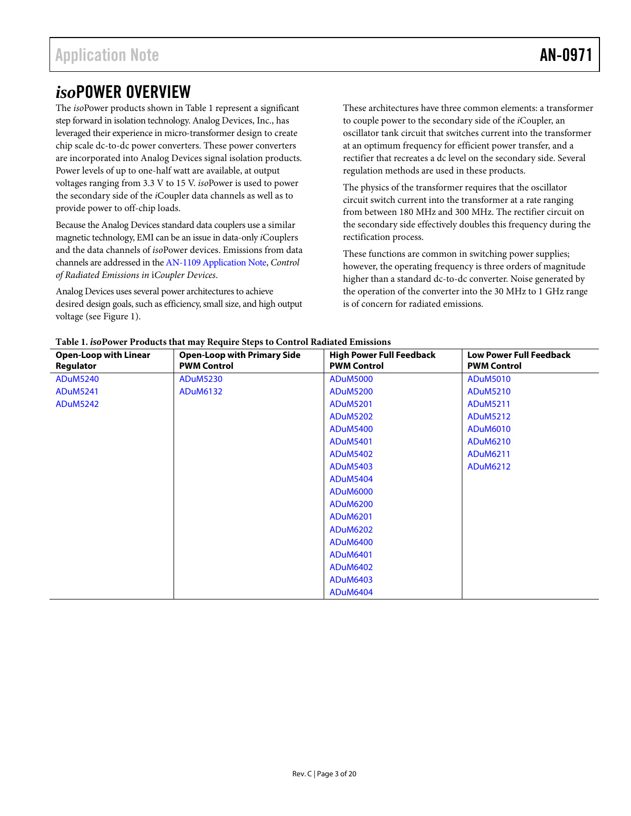## <span id="page-2-0"></span>*iso*POWER OVERVIEW

The *iso*Power products shown in [Table 1](#page-2-1) represent a significant step forward in isolation technology. Analog Devices, Inc., has leveraged their experience in micro-transformer design to create chip scale dc-to-dc power converters. These power converters are incorporated into Analog Devices signal isolation products. Power levels of up to one-half watt are available, at output voltages ranging from 3.3 V to 15 V. *iso*Power is used to power the secondary side of the *i*Coupler data channels as well as to provide power to off-chip loads.

Because the Analog Devices standard data couplers use a similar magnetic technology, EMI can be an issue in data-only *i*Couplers and the data channels of *iso*Power devices. Emissions from data channels are addressed in th[e AN-1109 Application Note,](http://www.analog.com/an-1109?doc=an-0971.pdf) *Control of Radiated Emissions in* i*Coupler Devices*.

Analog Devices uses several power architectures to achieve desired design goals, such as efficiency, small size, and high output voltage (see [Figure 1\)](#page-0-1).

These architectures have three common elements: a transformer to couple power to the secondary side of the *i*Coupler, an oscillator tank circuit that switches current into the transformer at an optimum frequency for efficient power transfer, and a rectifier that recreates a dc level on the secondary side. Several regulation methods are used in these products.

The physics of the transformer requires that the oscillator circuit switch current into the transformer at a rate ranging from between 180 MHz and 300 MHz. The rectifier circuit on the secondary side effectively doubles this frequency during the rectification process.

These functions are common in switching power supplies; however, the operating frequency is three orders of magnitude higher than a standard dc-to-dc converter. Noise generated by the operation of the converter into the 30 MHz to 1 GHz range is of concern for radiated emissions.

<span id="page-2-1"></span>

| <b>Open-Loop with Linear</b><br>Regulator | <b>Open-Loop with Primary Side</b><br><b>PWM Control</b> | <b>High Power Full Feedback</b><br><b>PWM Control</b> | <b>Low Power Full Feedback</b><br><b>PWM Control</b> |
|-------------------------------------------|----------------------------------------------------------|-------------------------------------------------------|------------------------------------------------------|
| <b>ADuM5240</b>                           | <b>ADuM5230</b>                                          | <b>ADuM5000</b>                                       | <b>ADuM5010</b>                                      |
| <b>ADuM5241</b>                           | ADuM6132                                                 | <b>ADuM5200</b>                                       | <b>ADuM5210</b>                                      |
| <b>ADuM5242</b>                           |                                                          | <b>ADuM5201</b>                                       | <b>ADuM5211</b>                                      |
|                                           |                                                          | <b>ADuM5202</b>                                       | <b>ADuM5212</b>                                      |
|                                           |                                                          | <b>ADuM5400</b>                                       | ADuM6010                                             |
|                                           |                                                          | <b>ADuM5401</b>                                       | ADuM6210                                             |
|                                           |                                                          | <b>ADuM5402</b>                                       | ADuM6211                                             |
|                                           |                                                          | <b>ADuM5403</b>                                       | ADuM6212                                             |
|                                           |                                                          | <b>ADuM5404</b>                                       |                                                      |
|                                           |                                                          | <b>ADuM6000</b>                                       |                                                      |
|                                           |                                                          | <b>ADuM6200</b>                                       |                                                      |
|                                           |                                                          | <b>ADuM6201</b>                                       |                                                      |
|                                           |                                                          | <b>ADuM6202</b>                                       |                                                      |
|                                           |                                                          | <b>ADuM6400</b>                                       |                                                      |
|                                           |                                                          | <b>ADuM6401</b>                                       |                                                      |
|                                           |                                                          | <b>ADuM6402</b>                                       |                                                      |
|                                           |                                                          | ADuM6403                                              |                                                      |
|                                           |                                                          | <b>ADuM6404</b>                                       |                                                      |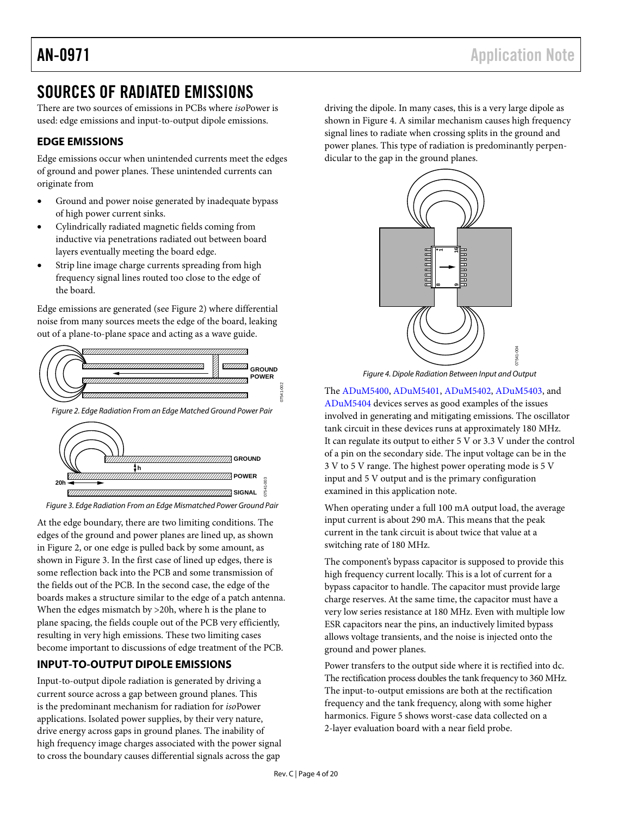## <span id="page-3-0"></span>SOURCES OF RADIATED EMISSIONS

There are two sources of emissions in PCBs where *iso*Power is used: edge emissions and input-to-output dipole emissions.

### <span id="page-3-1"></span>**EDGE EMISSIONS**

Edge emissions occur when unintended currents meet the edges of ground and power planes. These unintended currents can originate from

- Ground and power noise generated by inadequate bypass of high power current sinks.
- Cylindrically radiated magnetic fields coming from inductive via penetrations radiated out between board layers eventually meeting the board edge.
- Strip line image charge currents spreading from high frequency signal lines routed too close to the edge of the board.

Edge emissions are generated (se[e Figure 2\)](#page-3-3) where differential noise from many sources meets the edge of the board, leaking out of a plane-to-plane space and acting as a wave guide.



<span id="page-3-3"></span>*Figure 2. Edge Radiation From an Edge Matched Ground Power Pair*



<span id="page-3-4"></span>*Figure 3. Edge Radiation From an Edge Mismatched Power Ground Pair*

At the edge boundary, there are two limiting conditions. The edges of the ground and power planes are lined up, as shown in [Figure 2,](#page-3-3) or one edge is pulled back by some amount, as shown in [Figure 3.](#page-3-4) In the first case of lined up edges, there is some reflection back into the PCB and some transmission of the fields out of the PCB. In the second case, the edge of the boards makes a structure similar to the edge of a patch antenna. When the edges mismatch by >20h, where h is the plane to plane spacing, the fields couple out of the PCB very efficiently, resulting in very high emissions. These two limiting cases become important to discussions of edge treatment of the PCB.

### <span id="page-3-2"></span>**INPUT-TO-OUTPUT DIPOLE EMISSIONS**

Input-to-output dipole radiation is generated by driving a current source across a gap between ground planes. This is the predominant mechanism for radiation for *iso*Power applications. Isolated power supplies, by their very nature, drive energy across gaps in ground planes. The inability of high frequency image charges associated with the power signal to cross the boundary causes differential signals across the gap

driving the dipole. In many cases, this is a very large dipole as shown in [Figure 4.](#page-3-5) A similar mechanism causes high frequency signal lines to radiate when crossing splits in the ground and power planes. This type of radiation is predominantly perpendicular to the gap in the ground planes.





<span id="page-3-5"></span>The [ADuM5400,](http://www.analog.com/adum5400?doc=an-0971.pdf) [ADuM5401,](http://www.analog.com/adum5401?doc=an-0971.pdf) [ADuM5402,](http://www.analog.com/adum5402?doc=an-0971.pdf) [ADuM5403,](http://www.analog.com/adum5403?doc=an-0971.pdf) and [ADuM5404](http://www.analog.com/adum5404?doc=an-0971.pdf) devices serves as good examples of the issues involved in generating and mitigating emissions. The oscillator tank circuit in these devices runs at approximately 180 MHz. It can regulate its output to either 5 V or 3.3 V under the control of a pin on the secondary side. The input voltage can be in the 3 V to 5 V range. The highest power operating mode is 5 V input and 5 V output and is the primary configuration examined in this application note.

When operating under a full 100 mA output load, the average input current is about 290 mA. This means that the peak current in the tank circuit is about twice that value at a switching rate of 180 MHz.

The component's bypass capacitor is supposed to provide this high frequency current locally. This is a lot of current for a bypass capacitor to handle. The capacitor must provide large charge reserves. At the same time, the capacitor must have a very low series resistance at 180 MHz. Even with multiple low ESR capacitors near the pins, an inductively limited bypass allows voltage transients, and the noise is injected onto the ground and power planes.

Power transfers to the output side where it is rectified into dc. The rectification process doubles the tank frequency to 360 MHz. The input-to-output emissions are both at the rectification frequency and the tank frequency, along with some higher harmonics[. Figure 5](#page-4-0) shows worst-case data collected on a 2-layer evaluation board with a near field probe.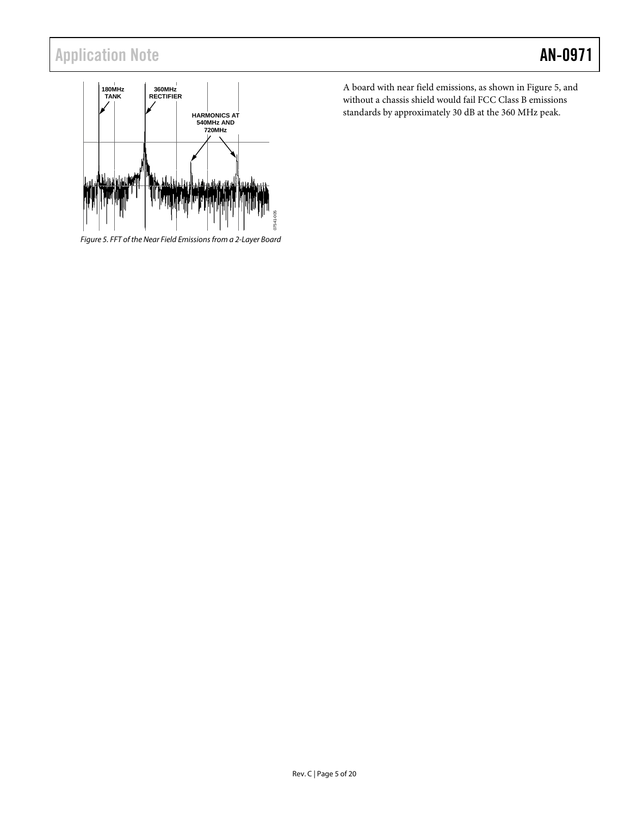## Application Note **AN-0971**



<span id="page-4-0"></span>*Figure 5. FFT of the Near Field Emissions from a 2-Layer Board*

A board with near field emissions, as shown i[n Figure 5,](#page-4-0) and without a chassis shield would fail FCC Class B emissions standards by approximately 30 dB at the 360 MHz peak.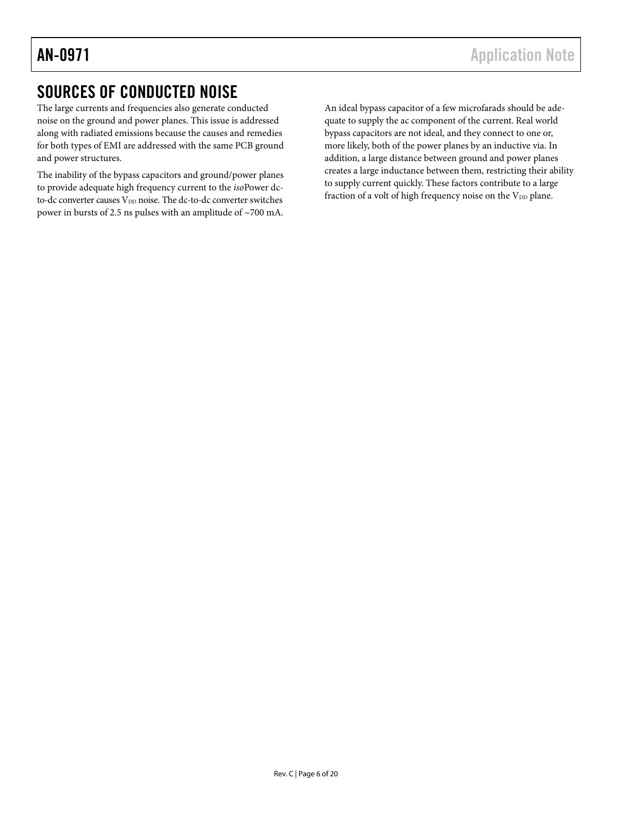## <span id="page-5-0"></span>SOURCES OF CONDUCTED NOISE

The large currents and frequencies also generate conducted noise on the ground and power planes. This issue is addressed along with radiated emissions because the causes and remedies for both types of EMI are addressed with the same PCB ground and power structures.

The inability of the bypass capacitors and ground/power planes to provide adequate high frequency current to the *iso*Power dcto-dc converter causes  $V_{DD}$  noise. The dc-to-dc converter switches power in bursts of 2.5 ns pulses with an amplitude of ~700 mA. An ideal bypass capacitor of a few microfarads should be adequate to supply the ac component of the current. Real world bypass capacitors are not ideal, and they connect to one or, more likely, both of the power planes by an inductive via. In addition, a large distance between ground and power planes creates a large inductance between them, restricting their ability to supply current quickly. These factors contribute to a large fraction of a volt of high frequency noise on the  $V_{DD}$  plane.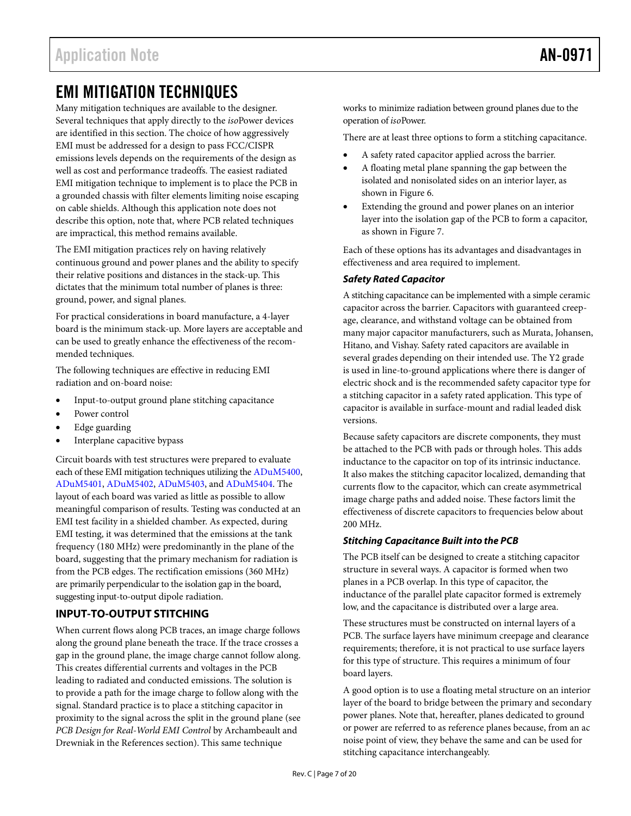## <span id="page-6-0"></span>EMI MITIGATION TECHNIQUES

Many mitigation techniques are available to the designer. Several techniques that apply directly to the *iso*Power devices are identified in this section. The choice of how aggressively EMI must be addressed for a design to pass FCC/CISPR emissions levels depends on the requirements of the design as well as cost and performance tradeoffs. The easiest radiated EMI mitigation technique to implement is to place the PCB in a grounded chassis with filter elements limiting noise escaping on cable shields. Although this application note does not describe this option, note that, where PCB related techniques are impractical, this method remains available.

The EMI mitigation practices rely on having relatively continuous ground and power planes and the ability to specify their relative positions and distances in the stack-up. This dictates that the minimum total number of planes is three: ground, power, and signal planes.

For practical considerations in board manufacture, a 4-layer board is the minimum stack-up. More layers are acceptable and can be used to greatly enhance the effectiveness of the recommended techniques.

The following techniques are effective in reducing EMI radiation and on-board noise:

- Input-to-output ground plane stitching capacitance
- Power control
- Edge guarding
- Interplane capacitive bypass

Circuit boards with test structures were prepared to evaluate each of these EMI mitigation techniques utilizing the [ADuM5400,](http://www.analog.com/adum5400?doc=an-0971.pdf)  [ADuM5401,](http://www.analog.com/adum5401?doc=an-0971.pdf) [ADuM5402,](http://www.analog.com/adum5402?doc=an-0971.pdf) [ADuM5403,](http://www.analog.com/adum5403?doc=an-0971.pdf) an[d ADuM5404.](http://www.analog.com/adum5404?doc=an-0971.pdf) The layout of each board was varied as little as possible to allow meaningful comparison of results. Testing was conducted at an EMI test facility in a shielded chamber. As expected, during EMI testing, it was determined that the emissions at the tank frequency (180 MHz) were predominantly in the plane of the board, suggesting that the primary mechanism for radiation is from the PCB edges. The rectification emissions (360 MHz) are primarily perpendicular to the isolation gap in the board, suggesting input-to-output dipole radiation.

#### <span id="page-6-1"></span>**INPUT-TO-OUTPUT STITCHING**

When current flows along PCB traces, an image charge follows along the ground plane beneath the trace. If the trace crosses a gap in the ground plane, the image charge cannot follow along. This creates differential currents and voltages in the PCB leading to radiated and conducted emissions. The solution is to provide a path for the image charge to follow along with the signal. Standard practice is to place a stitching capacitor in proximity to the signal across the split in the ground plane (see *PCB Design for Real-World EMI Control* by Archambeault and Drewniak in the [References](#page-19-1) section). This same technique

works to minimize radiation between ground planes due to the operation of *iso*Power.

There are at least three options to form a stitching capacitance.

- A safety rated capacitor applied across the barrier.
- A floating metal plane spanning the gap between the isolated and nonisolated sides on an interior layer, as shown in [Figure 6.](#page-7-1)
- Extending the ground and power planes on an interior layer into the isolation gap of the PCB to form a capacitor, as shown i[n Figure 7.](#page-7-2)

Each of these options has its advantages and disadvantages in effectiveness and area required to implement.

#### *Safety Rated Capacitor*

A stitching capacitance can be implemented with a simple ceramic capacitor across the barrier. Capacitors with guaranteed creepage, clearance, and withstand voltage can be obtained from many major capacitor manufacturers, such as Murata, Johansen, Hitano, and Vishay. Safety rated capacitors are available in several grades depending on their intended use. The Y2 grade is used in line-to-ground applications where there is danger of electric shock and is the recommended safety capacitor type for a stitching capacitor in a safety rated application. This type of capacitor is available in surface-mount and radial leaded disk versions.

Because safety capacitors are discrete components, they must be attached to the PCB with pads or through holes. This adds inductance to the capacitor on top of its intrinsic inductance. It also makes the stitching capacitor localized, demanding that currents flow to the capacitor, which can create asymmetrical image charge paths and added noise. These factors limit the effectiveness of discrete capacitors to frequencies below about 200 MHz.

#### *Stitching Capacitance Built into the PCB*

The PCB itself can be designed to create a stitching capacitor structure in several ways. A capacitor is formed when two planes in a PCB overlap. In this type of capacitor, the inductance of the parallel plate capacitor formed is extremely low, and the capacitance is distributed over a large area.

These structures must be constructed on internal layers of a PCB. The surface layers have minimum creepage and clearance requirements; therefore, it is not practical to use surface layers for this type of structure. This requires a minimum of four board layers.

A good option is to use a floating metal structure on an interior layer of the board to bridge between the primary and secondary power planes. Note that, hereafter, planes dedicated to ground or power are referred to as reference planes because, from an ac noise point of view, they behave the same and can be used for stitching capacitance interchangeably.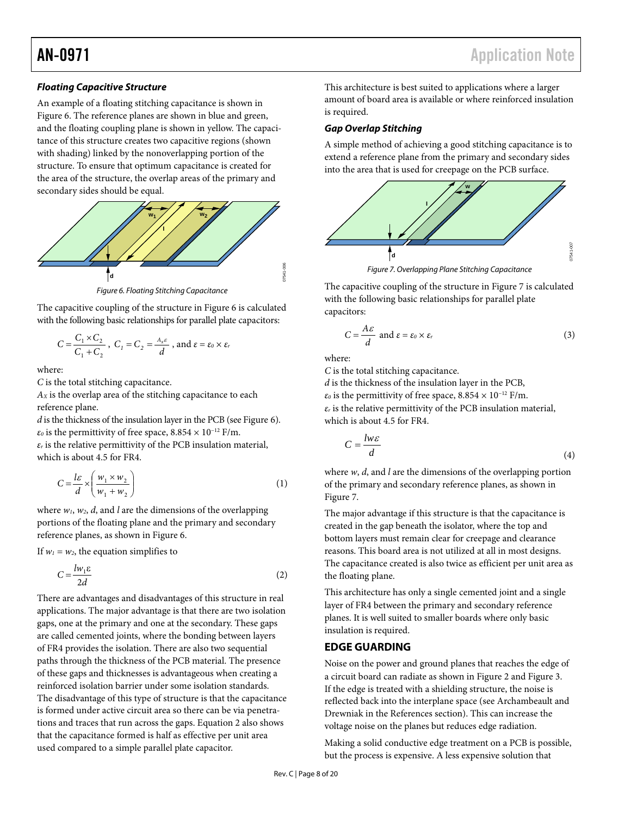#### *Floating Capacitive Structure*

An example of a floating stitching capacitance is shown in [Figure 6.](#page-7-1) The reference planes are shown in blue and green, and the floating coupling plane is shown in yellow. The capacitance of this structure creates two capacitive regions (shown with shading) linked by the nonoverlapping portion of the structure. To ensure that optimum capacitance is created for the area of the structure, the overlap areas of the primary and secondary sides should be equal.



*Figure 6. Floating Stitching Capacitance*

<span id="page-7-1"></span>The capacitive coupling of the structure i[n Figure 6](#page-7-1) is calculated with the following basic relationships for parallel plate capacitors:

$$
C = \frac{C_1 \times C_2}{C_1 + C_2}
$$
,  $C_1 = C_2 = \frac{A_x \varepsilon}{d}$ , and  $\varepsilon = \varepsilon_0 \times \varepsilon_r$ 

where:

*C* is the total stitching capacitance.

*AX* is the overlap area of the stitching capacitance to each reference plane.

*d* is the thickness of the insulation layer in the PCB (se[e Figure 6\)](#page-7-1).  $\varepsilon_0$  is the permittivity of free space,  $8.854 \times 10^{-12}$  F/m.

*εr* is the relative permittivity of the PCB insulation material, which is about 4.5 for FR4.

$$
C = \frac{1\varepsilon}{d} \times \left(\frac{w_1 \times w_2}{w_1 + w_2}\right) \tag{1}
$$

where *w1*, *w2*, *d*, and *l* are the dimensions of the overlapping portions of the floating plane and the primary and secondary reference planes, as shown in [Figure 6.](#page-7-1)

If  $w_1 = w_2$ , the equation simplifies to

$$
C = \frac{l w_1 \varepsilon}{2d} \tag{2}
$$

There are advantages and disadvantages of this structure in real applications. The major advantage is that there are two isolation gaps, one at the primary and one at the secondary. These gaps are called cemented joints, where the bonding between layers of FR4 provides the isolation. There are also two sequential paths through the thickness of the PCB material. The presence of these gaps and thicknesses is advantageous when creating a reinforced isolation barrier under some isolation standards. The disadvantage of this type of structure is that the capacitance is formed under active circuit area so there can be via penetrations and traces that run across the gaps. Equation 2 also shows that the capacitance formed is half as effective per unit area used compared to a simple parallel plate capacitor.

This architecture is best suited to applications where a larger amount of board area is available or where reinforced insulation is required.

#### *Gap Overlap Stitching*

A simple method of achieving a good stitching capacitance is to extend a reference plane from the primary and secondary sides into the area that is used for creepage on the PCB surface.



*Figure 7. Overlapping Plane Stitching Capacitance*

<span id="page-7-2"></span>The capacitive coupling of the structure i[n Figure 7](#page-7-2) is calculated with the following basic relationships for parallel plate capacitors:

$$
C = \frac{A\epsilon}{d} \text{ and } \epsilon = \epsilon_0 \times \epsilon_r \tag{3}
$$

where:

*C* is the total stitching capacitance.

*d* is the thickness of the insulation layer in the PCB,  $\varepsilon_0$  is the permittivity of free space,  $8.854 \times 10^{-12}$  F/m. *εr* is the relative permittivity of the PCB insulation material, which is about 4.5 for FR4.

$$
C = \frac{l w \varepsilon}{d} \tag{4}
$$

where *w*, *d*, and *l* are the dimensions of the overlapping portion of the primary and secondary reference planes, as shown in [Figure 7.](#page-7-2)

The major advantage if this structure is that the capacitance is created in the gap beneath the isolator, where the top and bottom layers must remain clear for creepage and clearance reasons. This board area is not utilized at all in most designs. The capacitance created is also twice as efficient per unit area as the floating plane.

This architecture has only a single cemented joint and a single layer of FR4 between the primary and secondary reference planes. It is well suited to smaller boards where only basic insulation is required.

#### <span id="page-7-0"></span>**EDGE GUARDING**

Noise on the power and ground planes that reaches the edge of a circuit board can radiate as shown in [Figure 2](#page-3-3) and [Figure 3.](#page-3-4)  If the edge is treated with a shielding structure, the noise is reflected back into the interplane space (see Archambeault and Drewniak in the [References](#page-19-1) section). This can increase the voltage noise on the planes but reduces edge radiation.

Making a solid conductive edge treatment on a PCB is possible, but the process is expensive. A less expensive solution that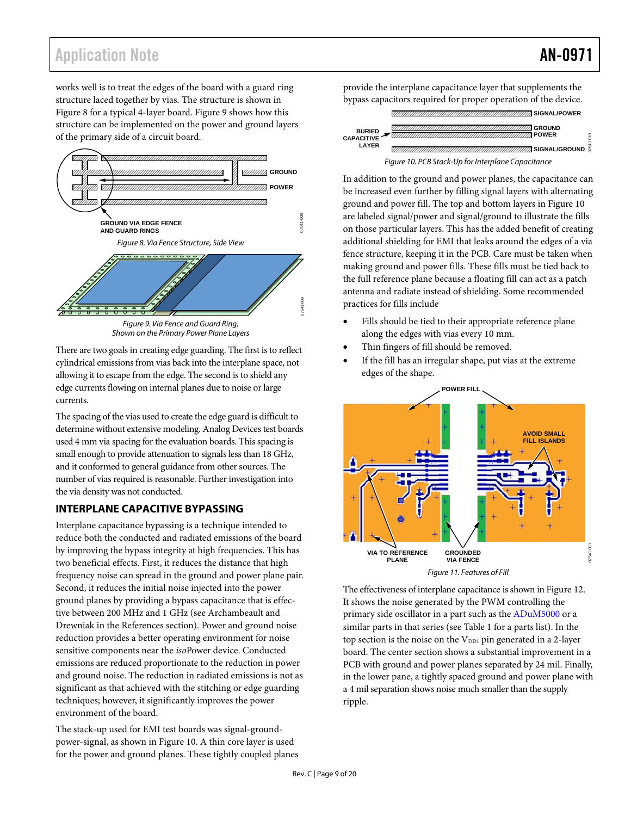## Application Note **AN-0971**

works well is to treat the edges of the board with a guard ring structure laced together by vias. The structure is shown in [Figure 8](#page-8-1) for a typical 4-layer board. [Figure 9](#page-8-2) shows how this structure can be implemented on the power and ground layers of the primary side of a circuit board.

<span id="page-8-1"></span>



<span id="page-8-2"></span>There are two goals in creating edge guarding. The first is to reflect cylindrical emissions from vias back into the interplane space, not allowing it to escape from the edge. The second is to shield any edge currents flowing on internal planes due to noise or large currents.

The spacing of the vias used to create the edge guard is difficult to determine without extensive modeling. Analog Devices test boards used 4 mm via spacing for the evaluation boards. This spacing is small enough to provide attenuation to signals less than 18 GHz, and it conformed to general guidance from other sources. The number of vias required is reasonable. Further investigation into the via density was not conducted.

#### <span id="page-8-0"></span>**INTERPLANE CAPACITIVE BYPASSING**

Interplane capacitance bypassing is a technique intended to reduce both the conducted and radiated emissions of the board by improving the bypass integrity at high frequencies. This has two beneficial effects. First, it reduces the distance that high frequency noise can spread in the ground and power plane pair. Second, it reduces the initial noise injected into the power ground planes by providing a bypass capacitance that is effective between 200 MHz and 1 GHz (see Archambeault and Drewniak in the [References](#page-19-1) section). Power and ground noise reduction provides a better operating environment for noise sensitive components near the *iso*Power device. Conducted emissions are reduced proportionate to the reduction in power and ground noise. The reduction in radiated emissions is not as significant as that achieved with the stitching or edge guarding techniques; however, it significantly improves the power environment of the board.

The stack-up used for EMI test boards was signal-groundpower-signal, as shown i[n Figure 10.](#page-8-3) A thin core layer is used for the power and ground planes. These tightly coupled planes provide the interplane capacitance layer that supplements the bypass capacitors required for proper operation of the device.



<span id="page-8-3"></span>In addition to the ground and power planes, the capacitance can be increased even further by filling signal layers with alternating ground and power fill. The top and bottom layers in [Figure 10](#page-8-3) are labeled signal/power and signal/ground to illustrate the fills on those particular layers. This has the added benefit of creating additional shielding for EMI that leaks around the edges of a via fence structure, keeping it in the PCB. Care must be taken when making ground and power fills. These fills must be tied back to the full reference plane because a floating fill can act as a patch antenna and radiate instead of shielding. Some recommended practices for fills include

- Fills should be tied to their appropriate reference plane along the edges with vias every 10 mm.
- Thin fingers of fill should be removed.
- If the fill has an irregular shape, put vias at the extreme edges of the shape.



The effectiveness of interplane capacitance is shown i[n Figure 12.](#page-9-2) It shows the noise generated by the PWM controlling the primary side oscillator in a part such as th[e ADuM5000](http://www.analog.com/adum5000?doc=an-0971.pdf) or a similar parts in that series (se[e Table 1](#page-2-1) for a parts list). In the top section is the noise on the  $V_{DD1}$  pin generated in a 2-layer board. The center section shows a substantial improvement in a PCB with ground and power planes separated by 24 mil. Finally, in the lower pane, a tightly spaced ground and power plane with a 4 mil separation shows noise much smaller than the supply ripple.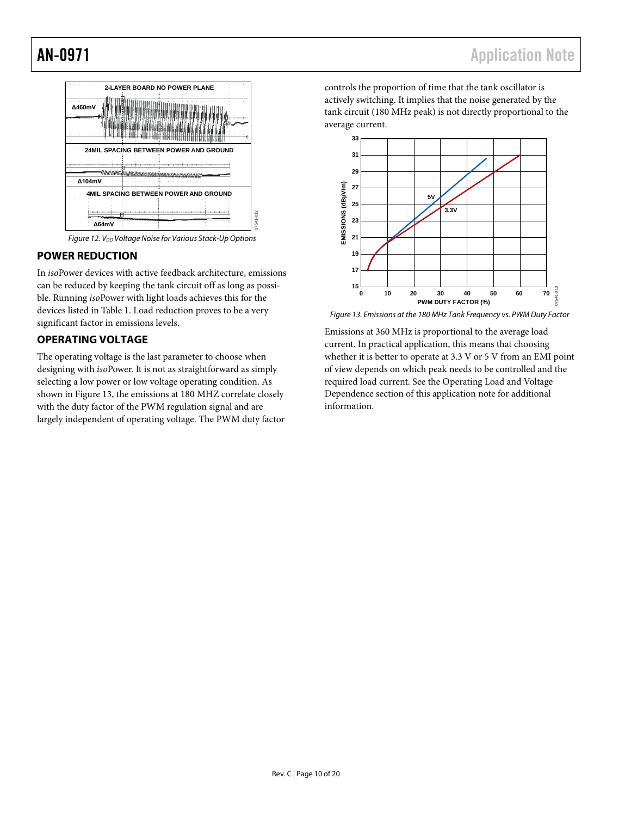

**Figure 12. V**<sub>DD</sub> Voltage Noise for Various Stack-Up Options

07541-012

#### <span id="page-9-2"></span><span id="page-9-0"></span>**POWER REDUCTION**

In *iso*Power devices with active feedback architecture, emissions can be reduced by keeping the tank circuit off as long as possible. Running *iso*Power with light loads achieves this for the devices listed i[n Table 1.](#page-2-1) Load reduction proves to be a very significant factor in emissions levels.

#### <span id="page-9-1"></span>**OPERATING VOLTAGE**

The operating voltage is the last parameter to choose when designing with *iso*Power. It is not as straightforward as simply selecting a low power or low voltage operating condition. As shown in [Figure 13,](#page-9-3) the emissions at 180 MHZ correlate closely with the duty factor of the PWM regulation signal and are largely independent of operating voltage. The PWM duty factor controls the proportion of time that the tank oscillator is actively switching. It implies that the noise generated by the tank circuit (180 MHz peak) is not directly proportional to the average current.



<span id="page-9-3"></span>*Figure 13. Emissions at the 180 MHz Tank Frequency vs. PWM Duty Factor*

Emissions at 360 MHz is proportional to the average load current. In practical application, this means that choosing whether it is better to operate at 3.3 V or 5 V from an EMI point of view depends on which peak needs to be controlled and the required load current. See th[e Operating Load and Voltage](#page-15-0)  [Dependence](#page-15-0) section of this application note for additional information.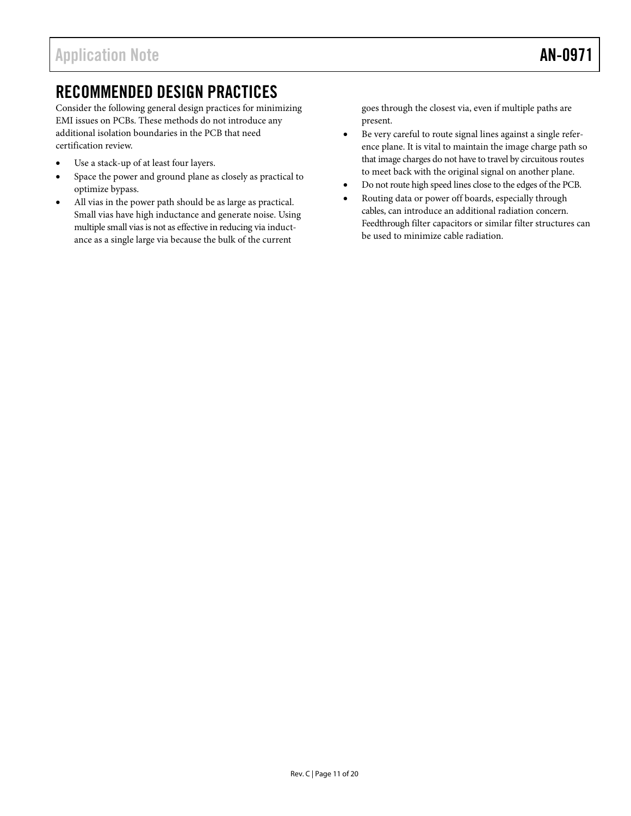## <span id="page-10-0"></span>RECOMMENDED DESIGN PRACTICES

Consider the following general design practices for minimizing EMI issues on PCBs. These methods do not introduce any additional isolation boundaries in the PCB that need certification review.

- Use a stack-up of at least four layers.
- Space the power and ground plane as closely as practical to optimize bypass.
- All vias in the power path should be as large as practical. Small vias have high inductance and generate noise. Using multiple small vias is not as effective in reducing via inductance as a single large via because the bulk of the current

goes through the closest via, even if multiple paths are present.

- Be very careful to route signal lines against a single reference plane. It is vital to maintain the image charge path so that image charges do not have to travel by circuitous routes to meet back with the original signal on another plane.
- Do not route high speed lines close to the edges of the PCB.
- Routing data or power off boards, especially through cables, can introduce an additional radiation concern. Feedthrough filter capacitors or similar filter structures can be used to minimize cable radiation.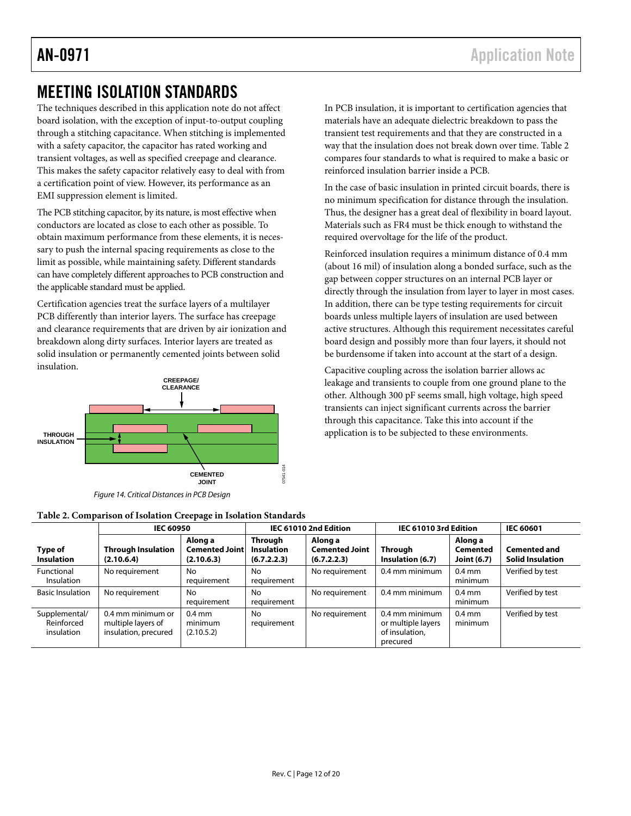## <span id="page-11-0"></span>MEETING ISOLATION STANDARDS

The techniques described in this application note do not affect board isolation, with the exception of input-to-output coupling through a stitching capacitance. When stitching is implemented with a safety capacitor, the capacitor has rated working and transient voltages, as well as specified creepage and clearance. This makes the safety capacitor relatively easy to deal with from a certification point of view. However, its performance as an EMI suppression element is limited.

The PCB stitching capacitor, by its nature, is most effective when conductors are located as close to each other as possible. To obtain maximum performance from these elements, it is necessary to push the internal spacing requirements as close to the limit as possible, while maintaining safety. Different standards can have completely different approaches to PCB construction and the applicable standard must be applied.

Certification agencies treat the surface layers of a multilayer PCB differently than interior layers. The surface has creepage and clearance requirements that are driven by air ionization and breakdown along dirty surfaces. Interior layers are treated as solid insulation or permanently cemented joints between solid insulation.



*Figure 14. Critical Distances in PCB Design*

<span id="page-11-1"></span>

| Table 2. Comparison of Isolation Creepage in Isolation Standards |  |  |  |  |
|------------------------------------------------------------------|--|--|--|--|
|------------------------------------------------------------------|--|--|--|--|

In PCB insulation, it is important to certification agencies that materials have an adequate dielectric breakdown to pass the transient test requirements and that they are constructed in a way that the insulation does not break down over time. [Table 2](#page-11-1) compares four standards to what is required to make a basic or reinforced insulation barrier inside a PCB.

In the case of basic insulation in printed circuit boards, there is no minimum specification for distance through the insulation. Thus, the designer has a great deal of flexibility in board layout. Materials such as FR4 must be thick enough to withstand the required overvoltage for the life of the product.

Reinforced insulation requires a minimum distance of 0.4 mm (about 16 mil) of insulation along a bonded surface, such as the gap between copper structures on an internal PCB layer or directly through the insulation from layer to layer in most cases. In addition, there can be type testing requirements for circuit boards unless multiple layers of insulation are used between active structures. Although this requirement necessitates careful board design and possibly more than four layers, it should not be burdensome if taken into account at the start of a design.

Capacitive coupling across the isolation barrier allows ac leakage and transients to couple from one ground plane to the other. Although 300 pF seems small, high voltage, high speed transients can inject significant currents across the barrier through this capacitance. Take this into account if the application is to be subjected to these environments.

|                                           | <b>IEC 60950</b>                                                |                                                | IEC 61010 2nd Edition                       |                                                 | IEC 61010 3rd Edition                                              |                                           | <b>IEC 60601</b>                               |  |
|-------------------------------------------|-----------------------------------------------------------------|------------------------------------------------|---------------------------------------------|-------------------------------------------------|--------------------------------------------------------------------|-------------------------------------------|------------------------------------------------|--|
| Type of<br><b>Insulation</b>              | <b>Through Insulation</b><br>(2.10.6.4)                         | Along a<br><b>Cemented Joint</b><br>(2.10.6.3) | Through<br><b>Insulation</b><br>(6.7.2.2.3) | Along a<br><b>Cemented Joint</b><br>(6.7.2.2.3) | Through<br>Insulation (6.7)                                        | Along a<br>Cemented<br><b>Joint (6.7)</b> | <b>Cemented and</b><br><b>Solid Insulation</b> |  |
| Functional<br><b>Insulation</b>           | No requirement                                                  | No<br>requirement                              | No<br>requirement                           | No requirement                                  | 0.4 mm minimum                                                     | $0.4$ mm<br>minimum                       | Verified by test                               |  |
| <b>Basic Insulation</b>                   | No requirement                                                  | No<br>requirement                              | No<br>requirement                           | No requirement                                  | 0.4 mm minimum                                                     | $0.4$ mm<br>minimum                       | Verified by test                               |  |
| Supplemental/<br>Reinforced<br>insulation | 0.4 mm minimum or<br>multiple layers of<br>insulation, precured | $0.4$ mm<br>minimum<br>(2.10.5.2)              | No<br>requirement                           | No requirement                                  | 0.4 mm minimum<br>or multiple layers<br>of insulation,<br>precured | $0.4$ mm<br>minimum                       | Verified by test                               |  |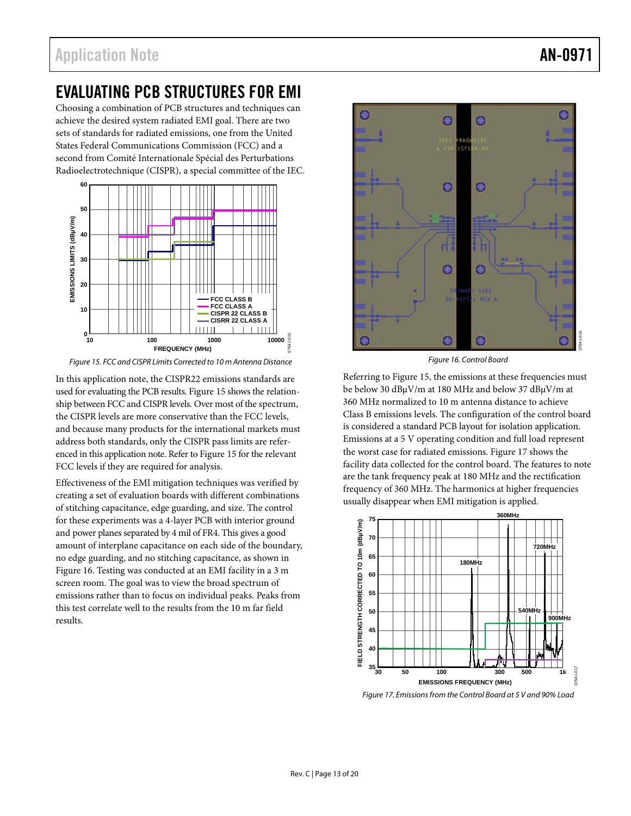## <span id="page-12-0"></span>EVALUATING PCB STRUCTURES FOR EMI

Choosing a combination of PCB structures and techniques can achieve the desired system radiated EMI goal. There are two sets of standards for radiated emissions, one from the United States Federal Communications Commission (FCC) and a second from Comité Internationale Spécial des Perturbations Radioelectrotechnique (CISPR), a special committee of the IEC.



<span id="page-12-1"></span>*Figure 15. FCC and CISPR Limits Corrected to 10 m Antenna Distance*

In this application note, the CISPR22 emissions standards are used for evaluating the PCB results[. Figure 15](#page-12-1) shows the relationship between FCC and CISPR levels. Over most of the spectrum, the CISPR levels are more conservative than the FCC levels, and because many products for the international markets must address both standards, only the CISPR pass limits are referenced in this application note. Refer t[o Figure 15](#page-12-1) for the relevant FCC levels if they are required for analysis.

Effectiveness of the EMI mitigation techniques was verified by creating a set of evaluation boards with different combinations of stitching capacitance, edge guarding, and size. The control for these experiments was a 4-layer PCB with interior ground and power planes separated by 4 mil of FR4. This gives a good amount of interplane capacitance on each side of the boundary, no edge guarding, and no stitching capacitance, as shown in [Figure 16.](#page-12-2) Testing was conducted at an EMI facility in a 3 m screen room. The goal was to view the broad spectrum of emissions rather than to focus on individual peaks. Peaks from this test correlate well to the results from the 10 m far field results.



*Figure 16. Control Board*

<span id="page-12-2"></span>Referring to [Figure 15,](#page-12-1) the emissions at these frequencies must be below 30 dBµV/m at 180 MHz and below 37 dBµV/m at 360 MHz normalized to 10 m antenna distance to achieve Class B emissions levels. The configuration of the control board is considered a standard PCB layout for isolation application. Emissions at a 5 V operating condition and full load represent the worst case for radiated emissions. [Figure 17](#page-12-3) shows the facility data collected for the control board. The features to note are the tank frequency peak at 180 MHz and the rectification frequency of 360 MHz. The harmonics at higher frequencies usually disappear when EMI mitigation is applied.



<span id="page-12-3"></span>*Figure 17. Emissions from the Control Board at 5 V and 90% Load*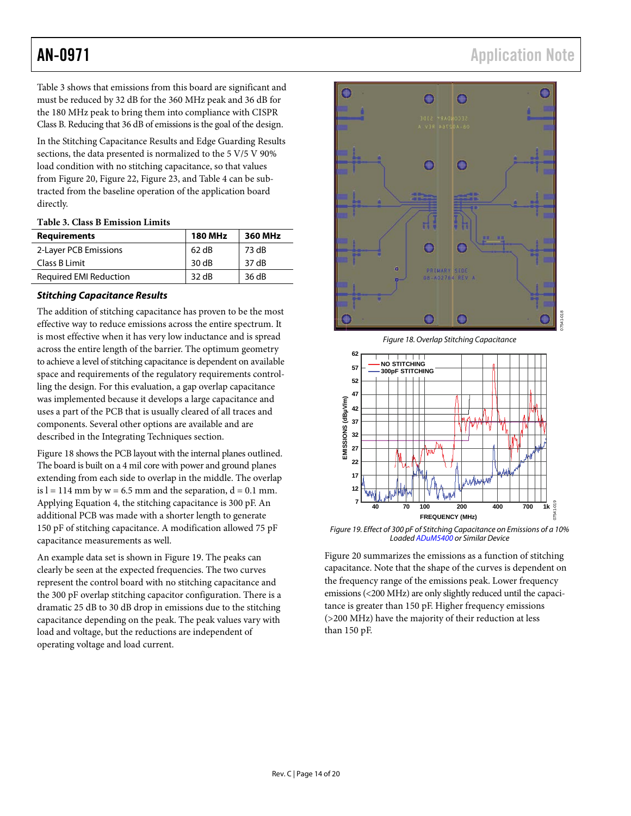[Table 3](#page-13-0) shows that emissions from this board are significant and must be reduced by 32 dB for the 360 MHz peak and 36 dB for the 180 MHz peak to bring them into compliance with CISPR Class B. Reducing that 36 dB of emissions is the goal of the design.

In th[e Stitching Capacitance Results](#page-13-1) an[d Edge Guarding Results](#page-14-0) sections, the data presented is normalized to the 5 V/5 V 90% load condition with no stitching capacitance, so that values from [Figure 20,](#page-14-1) [Figure 22,](#page-15-2) [Figure 23,](#page-15-3) an[d Table 4](#page-14-2) can be subtracted from the baseline operation of the application board directly.

#### <span id="page-13-0"></span>**Table 3. Class B Emission Limits**

| <b>Requirements</b>           | <b>180 MHz</b> | 360 MHz |
|-------------------------------|----------------|---------|
| 2-Layer PCB Emissions         | 62 dB          | 73 dB   |
| Class B Limit                 | 30dB           | 37 dB   |
| <b>Required EMI Reduction</b> | 32 dB          | 36 dB   |

#### <span id="page-13-1"></span>*Stitching Capacitance Results*

The addition of stitching capacitance has proven to be the most effective way to reduce emissions across the entire spectrum. It is most effective when it has very low inductance and is spread across the entire length of the barrier. The optimum geometry to achieve a level of stitching capacitance is dependent on available space and requirements of the regulatory requirements controlling the design. For this evaluation, a gap overlap capacitance was implemented because it develops a large capacitance and uses a part of the PCB that is usually cleared of all traces and components. Several other options are available and are described in the [Integrating Techniques](#page-16-0) section.

[Figure 18](#page-13-2) shows the PCB layout with the internal planes outlined. The board is built on a 4 mil core with power and ground planes extending from each side to overlap in the middle. The overlap is  $l = 114$  mm by  $w = 6.5$  mm and the separation,  $d = 0.1$  mm. Applying Equation 4, the stitching capacitance is 300 pF. An additional PCB was made with a shorter length to generate 150 pF of stitching capacitance. A modification allowed 75 pF capacitance measurements as well.

An example data set is shown i[n Figure 19.](#page-13-3) The peaks can clearly be seen at the expected frequencies. The two curves represent the control board with no stitching capacitance and the 300 pF overlap stitching capacitor configuration. There is a dramatic 25 dB to 30 dB drop in emissions due to the stitching capacitance depending on the peak. The peak values vary with load and voltage, but the reductions are independent of operating voltage and load current.

## AN-0971 Application Note



*Figure 18. Overlap Stitching Capacitance*

<span id="page-13-2"></span>

<span id="page-13-3"></span>*Figure 19. Effect of 300 pF of Stitching Capacitance on Emissions of a 10% Loade[d ADuM5400](http://www.analog.com/adum5400?doc=an-0971.pdf) or Similar Device*

[Figure 20](#page-14-1) summarizes the emissions as a function of stitching capacitance. Note that the shape of the curves is dependent on the frequency range of the emissions peak. Lower frequency emissions (<200 MHz) are only slightly reduced until the capacitance is greater than 150 pF. Higher frequency emissions (>200 MHz) have the majority of their reduction at less than 150 pF.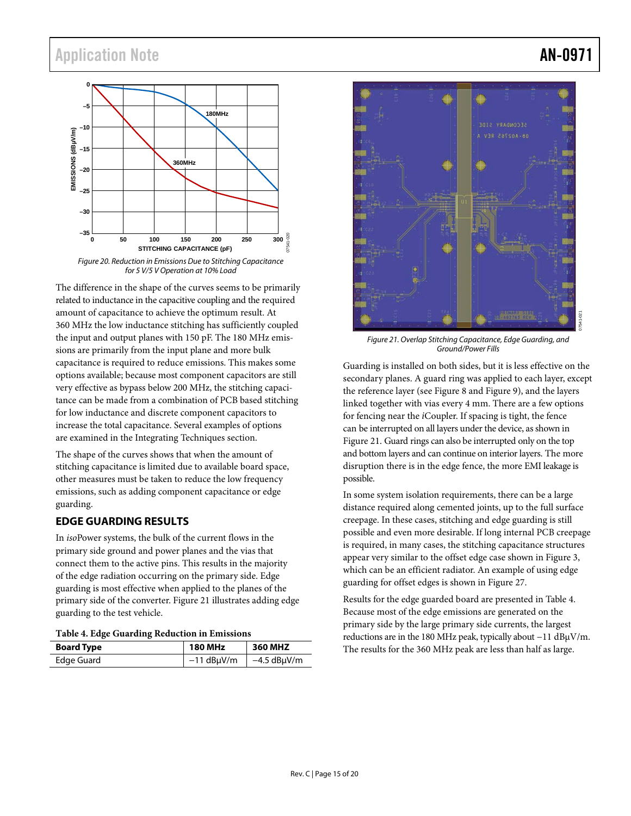## Application Note **AN-0971**



<span id="page-14-1"></span>The difference in the shape of the curves seems to be primarily related to inductance in the capacitive coupling and the required amount of capacitance to achieve the optimum result. At 360 MHz the low inductance stitching has sufficiently coupled the input and output planes with 150 pF. The 180 MHz emissions are primarily from the input plane and more bulk capacitance is required to reduce emissions. This makes some options available; because most component capacitors are still very effective as bypass below 200 MHz, the stitching capacitance can be made from a combination of PCB based stitching for low inductance and discrete component capacitors to increase the total capacitance. Several examples of options are examined in the [Integrating Techniques](#page-16-0) section.

The shape of the curves shows that when the amount of stitching capacitance is limited due to available board space, other measures must be taken to reduce the low frequency emissions, such as adding component capacitance or edge guarding.

#### <span id="page-14-0"></span>**EDGE GUARDING RESULTS**

In *iso*Power systems, the bulk of the current flows in the primary side ground and power planes and the vias that connect them to the active pins. This results in the majority of the edge radiation occurring on the primary side. Edge guarding is most effective when applied to the planes of the primary side of the converter. [Figure 21](#page-14-3) illustrates adding edge guarding to the test vehicle.

#### <span id="page-14-2"></span>**Table 4. Edge Guarding Reduction in Emissions**

| <b>Board Type</b> | <b>180 MHz</b> | 360 MHZ       |
|-------------------|----------------|---------------|
| Edge Guard        | $-11$ dBµV/m   | $-4.5$ dBµV/m |



<span id="page-14-3"></span>*Figure 21. Overlap Stitching Capacitance, Edge Guarding, and Ground/Power Fills*

Guarding is installed on both sides, but it is less effective on the secondary planes. A guard ring was applied to each layer, except the reference layer (se[e Figure 8](#page-8-1) an[d Figure 9\)](#page-8-2), and the layers linked together with vias every 4 mm. There are a few options for fencing near the *i*Coupler. If spacing is tight, the fence can be interrupted on all layers under the device, as shown in [Figure 21.](#page-14-3) Guard rings can also be interrupted only on the top and bottom layers and can continue on interior layers. The more disruption there is in the edge fence, the more EMI leakage is possible.

In some system isolation requirements, there can be a large distance required along cemented joints, up to the full surface creepage. In these cases, stitching and edge guarding is still possible and even more desirable. If long internal PCB creepage is required, in many cases, the stitching capacitance structures appear very similar to the offset edge case shown in [Figure 3,](#page-3-4) which can be an efficient radiator. An example of using edge guarding for offset edges is shown in [Figure 27.](#page-17-1)

Results for the edge guarded board are presented i[n Table 4.](#page-14-2)  Because most of the edge emissions are generated on the primary side by the large primary side currents, the largest reductions are in the 180 MHz peak, typically about −11 dBµV/m. The results for the 360 MHz peak are less than half as large.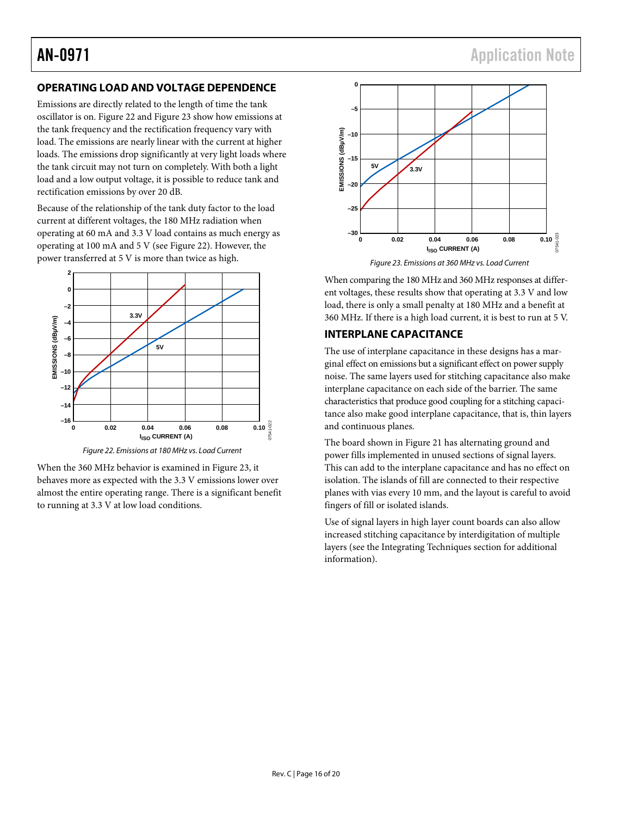#### <span id="page-15-0"></span>**OPERATING LOAD AND VOLTAGE DEPENDENCE**

Emissions are directly related to the length of time the tank oscillator is on[. Figure 22](#page-15-2) an[d Figure 23](#page-15-3) show how emissions at the tank frequency and the rectification frequency vary with load. The emissions are nearly linear with the current at higher loads. The emissions drop significantly at very light loads where the tank circuit may not turn on completely. With both a light load and a low output voltage, it is possible to reduce tank and rectification emissions by over 20 dB.

Because of the relationship of the tank duty factor to the load current at different voltages, the 180 MHz radiation when operating at 60 mA and 3.3 V load contains as much energy as operating at 100 mA and 5 V (see [Figure 22\)](#page-15-2). However, the power transferred at 5 V is more than twice as high.



*Figure 22. Emissions at 180 MHz vs. Load Current*

<span id="page-15-2"></span>When the 360 MHz behavior is examined in [Figure 23,](#page-15-3) it behaves more as expected with the 3.3 V emissions lower over almost the entire operating range. There is a significant benefit to running at 3.3 V at low load conditions.



*Figure 23. Emissions at 360 MHz vs. Load Current*

<span id="page-15-3"></span>When comparing the 180 MHz and 360 MHz responses at different voltages, these results show that operating at 3.3 V and low load, there is only a small penalty at 180 MHz and a benefit at 360 MHz. If there is a high load current, it is best to run at 5 V.

#### <span id="page-15-1"></span>**INTERPLANE CAPACITANCE**

The use of interplane capacitance in these designs has a marginal effect on emissions but a significant effect on power supply noise. The same layers used for stitching capacitance also make interplane capacitance on each side of the barrier. The same characteristics that produce good coupling for a stitching capacitance also make good interplane capacitance, that is, thin layers and continuous planes.

The board shown i[n Figure 21](#page-14-3) has alternating ground and power fills implemented in unused sections of signal layers. This can add to the interplane capacitance and has no effect on isolation. The islands of fill are connected to their respective planes with vias every 10 mm, and the layout is careful to avoid fingers of fill or isolated islands.

Use of signal layers in high layer count boards can also allow increased stitching capacitance by interdigitation of multiple layers (see th[e Integrating Techniques](#page-16-0) section for additional information).

07541-022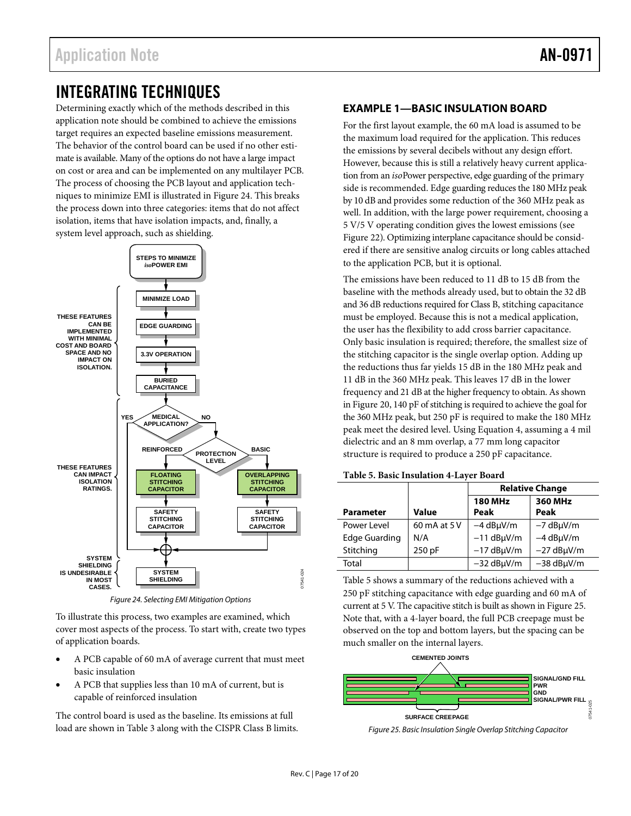## <span id="page-16-0"></span>INTEGRATING TECHNIQUES

Determining exactly which of the methods described in this application note should be combined to achieve the emissions target requires an expected baseline emissions measurement. The behavior of the control board can be used if no other estimate is available. Many of the options do not have a large impact on cost or area and can be implemented on any multilayer PCB. The process of choosing the PCB layout and application techniques to minimize EMI is illustrated i[n Figure 24.](#page-16-2) This breaks the process down into three categories: items that do not affect isolation, items that have isolation impacts, and, finally, a system level approach, such as shielding.



*Figure 24. Selecting EMI Mitigation Options* 

<span id="page-16-2"></span>To illustrate this process, two examples are examined, which cover most aspects of the process. To start with, create two types of application boards.

- A PCB capable of 60 mA of average current that must meet basic insulation
- A PCB that supplies less than 10 mA of current, but is capable of reinforced insulation

The control board is used as the baseline. Its emissions at full load are shown in [Table 3](#page-13-0) along with the CISPR Class B limits.

#### <span id="page-16-1"></span>**EXAMPLE 1—BASIC INSULATION BOARD**

For the first layout example, the 60 mA load is assumed to be the maximum load required for the application. This reduces the emissions by several decibels without any design effort. However, because this is still a relatively heavy current application from an *iso*Power perspective, edge guarding of the primary side is recommended. Edge guarding reduces the 180 MHz peak by 10 dB and provides some reduction of the 360 MHz peak as well. In addition, with the large power requirement, choosing a 5 V/5 V operating condition gives the lowest emissions (see [Figure 22\)](#page-15-2). Optimizing interplane capacitance should be considered if there are sensitive analog circuits or long cables attached to the application PCB, but it is optional.

The emissions have been reduced to 11 dB to 15 dB from the baseline with the methods already used, but to obtain the 32 dB and 36 dB reductions required for Class B, stitching capacitance must be employed. Because this is not a medical application, the user has the flexibility to add cross barrier capacitance. Only basic insulation is required; therefore, the smallest size of the stitching capacitor is the single overlap option. Adding up the reductions thus far yields 15 dB in the 180 MHz peak and 11 dB in the 360 MHz peak. This leaves 17 dB in the lower frequency and 21 dB at the higher frequency to obtain. As shown in [Figure](#page-14-1) 20, 140 pF of stitching is required to achieve the goal for the 360 MHz peak, but 250 pF is required to make the 180 MHz peak meet the desired level. Using Equation 4, assuming a 4 mil dielectric and an 8 mm overlap, a 77 mm long capacitor structure is required to produce a 250 pF capacitance.

#### <span id="page-16-3"></span>**Table 5. Basic Insulation 4-Layer Board**

|                  |              | <b>Relative Change</b> |                        |  |
|------------------|--------------|------------------------|------------------------|--|
| <b>Parameter</b> | Value        | <b>180 MHz</b><br>Peak | <b>360 MHz</b><br>Peak |  |
| Power Level      | 60 mA at 5 V | $-4$ dB $\mu$ V/m      | $-7$ dB $\mu$ V/m      |  |
| Edge Guarding    | N/A          | $-11$ dB $\mu$ V/m     | $-4$ dB $\mu$ V/m      |  |
| Stitching        | 250 pF       | $-17$ dB $\mu$ V/m     | $-27$ dB $\mu$ V/m     |  |
| Total            |              | $-32$ dB $\mu$ V/m     | $-38$ dB $\mu$ V/m     |  |

[Table 5](#page-16-3) shows a summary of the reductions achieved with a 250 pF stitching capacitance with edge guarding and 60 mA of current at 5 V. The capacitive stitch is built as shown i[n Figure 25.](#page-16-4)  Note that, with a 4-layer board, the full PCB creepage must be observed on the top and bottom layers, but the spacing can be much smaller on the internal layers.



<span id="page-16-4"></span>*Figure 25. Basic Insulation Single Overlap Stitching Capacitor*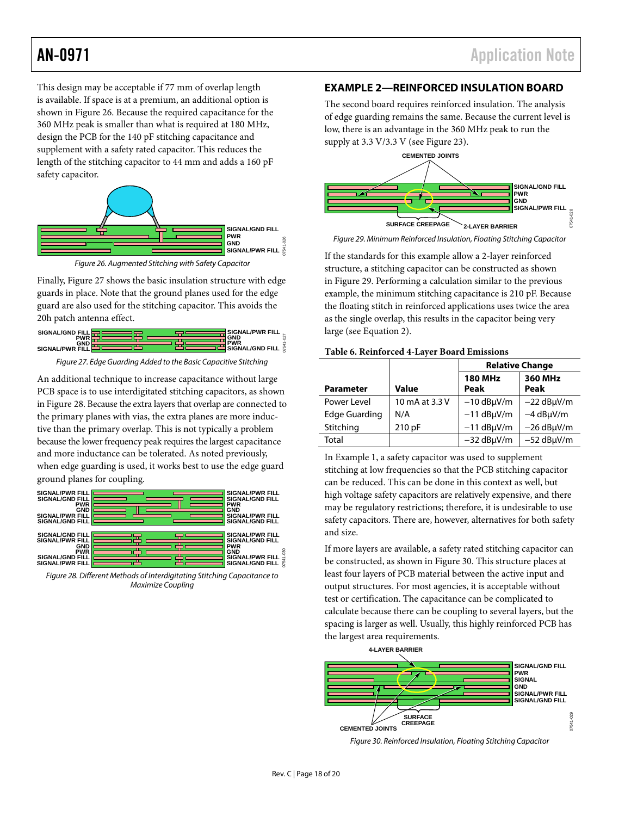This design may be acceptable if 77 mm of overlap length is available. If space is at a premium, an additional option is shown in [Figure 26.](#page-17-2) Because the required capacitance for the 360 MHz peak is smaller than what is required at 180 MHz, design the PCB for the 140 pF stitching capacitance and supplement with a safety rated capacitor. This reduces the length of the stitching capacitor to 44 mm and adds a 160 pF safety capacitor.



*Figure 26. Augmented Stitching with Safety Capacitor*

<span id="page-17-2"></span>Finally[, Figure 27](#page-17-1) shows the basic insulation structure with edge guards in place. Note that the ground planes used for the edge guard are also used for the stitching capacitor. This avoids the 20h patch antenna effect.



*Figure 27. Edge Guarding Added to the Basic Capacitive Stitching*

<span id="page-17-1"></span>An additional technique to increase capacitance without large PCB space is to use interdigitated stitching capacitors, as shown i[n Figure 28.](#page-17-3) Because the extra layers that overlap are connected to the primary planes with vias, the extra planes are more inductive than the primary overlap. This is not typically a problem because the lower frequency peak requires the largest capacitance and more inductance can be tolerated. As noted previously, when edge guarding is used, it works best to use the edge guard ground planes for coupling.



<span id="page-17-3"></span>*Figure 28. Different Methods of Interdigitating Stitching Capacitance to Maximize Coupling*

### <span id="page-17-0"></span>**EXAMPLE 2—REINFORCED INSULATION BOARD**

The second board requires reinforced insulation. The analysis of edge guarding remains the same. Because the current level is low, there is an advantage in the 360 MHz peak to run the supply at 3.3 V/3.3 V (see [Figure 23\)](#page-15-3).



<span id="page-17-4"></span>*Figure 29. Minimum Reinforced Insulation, Floating Stitching Capacitor*

If the standards for this example allow a 2-layer reinforced structure, a stitching capacitor can be constructed as shown in [Figure 29.](#page-17-4) Performing a calculation similar to the previous example, the minimum stitching capacitance is 210 pF. Because the floating stitch in reinforced applications uses twice the area as the single overlap, this results in the capacitor being very large (see Equation 2).

|                      |                | <b>Relative Change</b> |                    |
|----------------------|----------------|------------------------|--------------------|
| <b>Parameter</b>     | Value          | <b>180 MHz</b><br>Peak | 360 MHz<br>Peak    |
| Power Level          | 10 mA at 3.3 V | $-10$ dB $\mu$ V/m     | $-22$ dB $\mu$ V/m |
| <b>Edge Guarding</b> | N/A            | $-11$ dB $\mu$ V/m     | $-4$ dB $\mu$ V/m  |
| Stitching            | 210 pF         | $-11$ dB $\mu$ V/m     | $-26$ dB $\mu$ V/m |
| Total                |                | $-32$ dB $\mu$ V/m     | $-52$ dB $\mu$ V/m |

In Example 1, a safety capacitor was used to supplement stitching at low frequencies so that the PCB stitching capacitor can be reduced. This can be done in this context as well, but high voltage safety capacitors are relatively expensive, and there may be regulatory restrictions; therefore, it is undesirable to use safety capacitors. There are, however, alternatives for both safety and size.

If more layers are available, a safety rated stitching capacitor can be constructed, as shown in [Figure 30.](#page-17-5) This structure places at least four layers of PCB material between the active input and output structures. For most agencies, it is acceptable without test or certification. The capacitance can be complicated to calculate because there can be coupling to several layers, but the spacing is larger as well. Usually, this highly reinforced PCB has the largest area requirements.



<span id="page-17-5"></span>*Figure 30. Reinforced Insulation, Floating Stitching Capacitor*

07541-030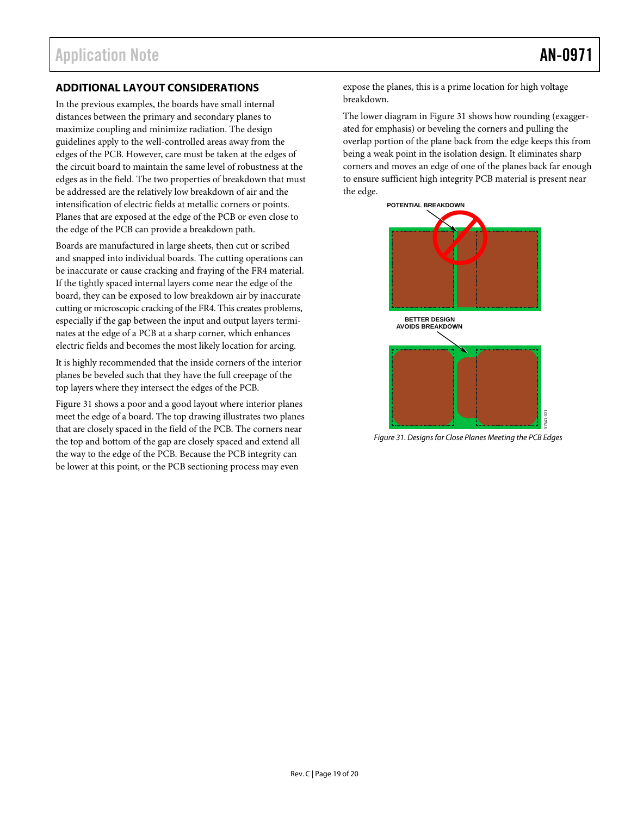#### <span id="page-18-0"></span>**ADDITIONAL LAYOUT CONSIDERATIONS**

In the previous examples, the boards have small internal distances between the primary and secondary planes to maximize coupling and minimize radiation. The design guidelines apply to the well-controlled areas away from the edges of the PCB. However, care must be taken at the edges of the circuit board to maintain the same level of robustness at the edges as in the field. The two properties of breakdown that must be addressed are the relatively low breakdown of air and the intensification of electric fields at metallic corners or points. Planes that are exposed at the edge of the PCB or even close to the edge of the PCB can provide a breakdown path.

Boards are manufactured in large sheets, then cut or scribed and snapped into individual boards. The cutting operations can be inaccurate or cause cracking and fraying of the FR4 material. If the tightly spaced internal layers come near the edge of the board, they can be exposed to low breakdown air by inaccurate cutting or microscopic cracking of the FR4. This creates problems, especially if the gap between the input and output layers terminates at the edge of a PCB at a sharp corner, which enhances electric fields and becomes the most likely location for arcing.

It is highly recommended that the inside corners of the interior planes be beveled such that they have the full creepage of the top layers where they intersect the edges of the PCB.

[Figure 31](#page-18-1) shows a poor and a good layout where interior planes meet the edge of a board. The top drawing illustrates two planes that are closely spaced in the field of the PCB. The corners near the top and bottom of the gap are closely spaced and extend all the way to the edge of the PCB. Because the PCB integrity can be lower at this point, or the PCB sectioning process may even

expose the planes, this is a prime location for high voltage breakdown.

The lower diagram in [Figure 31](#page-18-1) shows how rounding (exaggerated for emphasis) or beveling the corners and pulling the overlap portion of the plane back from the edge keeps this from being a weak point in the isolation design. It eliminates sharp corners and moves an edge of one of the planes back far enough to ensure sufficient high integrity PCB material is present near the edge.



<span id="page-18-1"></span>*Figure 31. Designs for Close Planes Meeting the PCB Edges*